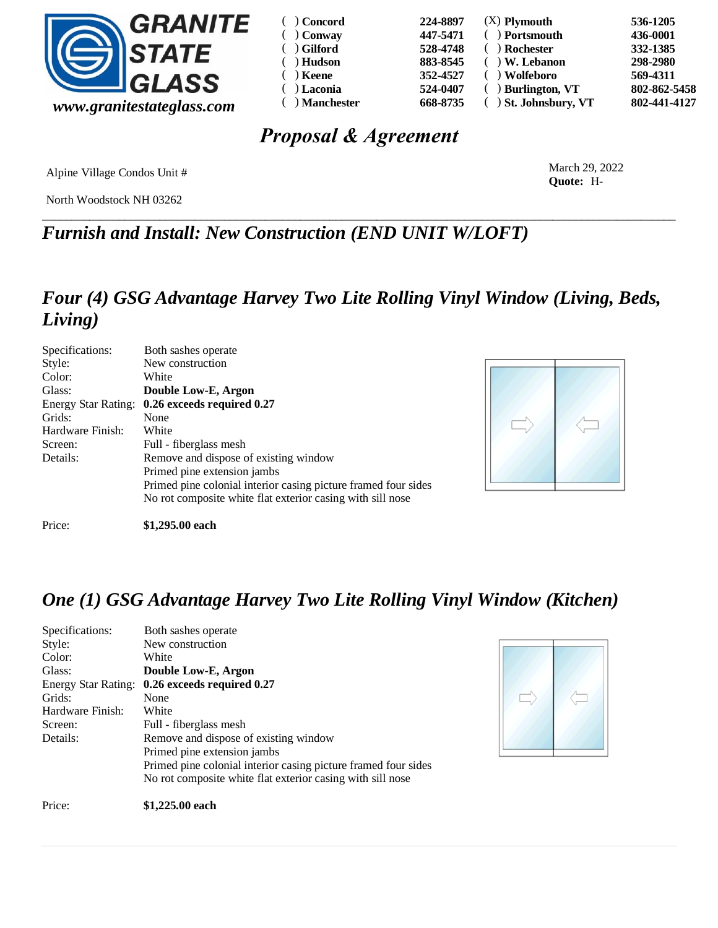

| ( ) Concord          | 224-8897 | $(X)$ Plymouth        | 536-1205     |
|----------------------|----------|-----------------------|--------------|
| $( )$ Conway         | 447-5471 | ( ) Portsmouth        | 436-0001     |
| $( )$ Gilford        | 528-4748 | ) Rochester           | 332-1385     |
| Hudson<br>$\sqrt{2}$ | 883-8545 | $( )$ W. Lebanon      | 298-2980     |
| $( )$ Keene          | 352-4527 | ) Wolfeboro           | 569-4311     |
| $( )$ Laconia        | 524-0407 | $( )$ Burlington, VT  | 802-862-5458 |
| $( )$ Manchester     | 668-8735 | ( ) St. Johnsbury, VT | 802-441-4127 |

# *Proposal & Agreement*

\_\_\_\_\_\_\_\_\_\_\_\_\_\_\_\_\_\_\_\_\_\_\_\_\_\_\_\_\_\_\_\_\_\_\_\_\_\_\_\_\_\_\_\_\_\_\_\_\_\_\_\_\_\_\_\_\_\_\_\_\_\_\_\_\_\_\_\_\_\_\_\_\_\_\_\_\_\_\_\_\_\_\_\_\_\_\_\_\_\_\_\_\_\_\_\_\_\_\_\_\_\_\_\_\_\_\_\_

Alpine Village Condos Unit #

North Woodstock NH 03262

March 29, 2022 **Quote:** H-

*Furnish and Install: New Construction (END UNIT W/LOFT)*

## *Four (4) GSG Advantage Harvey Two Lite Rolling Vinyl Window (Living, Beds, Living)*

| Specifications:            | Both sashes operate                                            |
|----------------------------|----------------------------------------------------------------|
| Style:                     | New construction                                               |
| Color:                     | White                                                          |
| Glass:                     | Double Low-E, Argon                                            |
| <b>Energy Star Rating:</b> | 0.26 exceeds required 0.27                                     |
| Grids:                     | None                                                           |
| Hardware Finish:           | White                                                          |
| Screen:                    | Full - fiberglass mesh                                         |
| Details:                   | Remove and dispose of existing window                          |
|                            | Primed pine extension jambs                                    |
|                            | Primed pine colonial interior casing picture framed four sides |
|                            | No rot composite white flat exterior casing with sill nose     |
| Price:                     | \$1,295.00 each                                                |



### *One (1) GSG Advantage Harvey Two Lite Rolling Vinyl Window (Kitchen)*

| Specifications:            | Both sashes operate                                            |
|----------------------------|----------------------------------------------------------------|
| Style:                     | New construction                                               |
| Color:                     | White                                                          |
| Glass:                     | Double Low-E, Argon                                            |
| <b>Energy Star Rating:</b> | 0.26 exceeds required 0.27                                     |
| Grids:                     | None                                                           |
| Hardware Finish:           | White                                                          |
| Screen:                    | Full - fiberglass mesh                                         |
| Details:                   | Remove and dispose of existing window                          |
|                            | Primed pine extension jambs                                    |
|                            | Primed pine colonial interior casing picture framed four sides |
|                            | No rot composite white flat exterior casing with sill nose     |
|                            |                                                                |



Price: **\$1,225.00 each**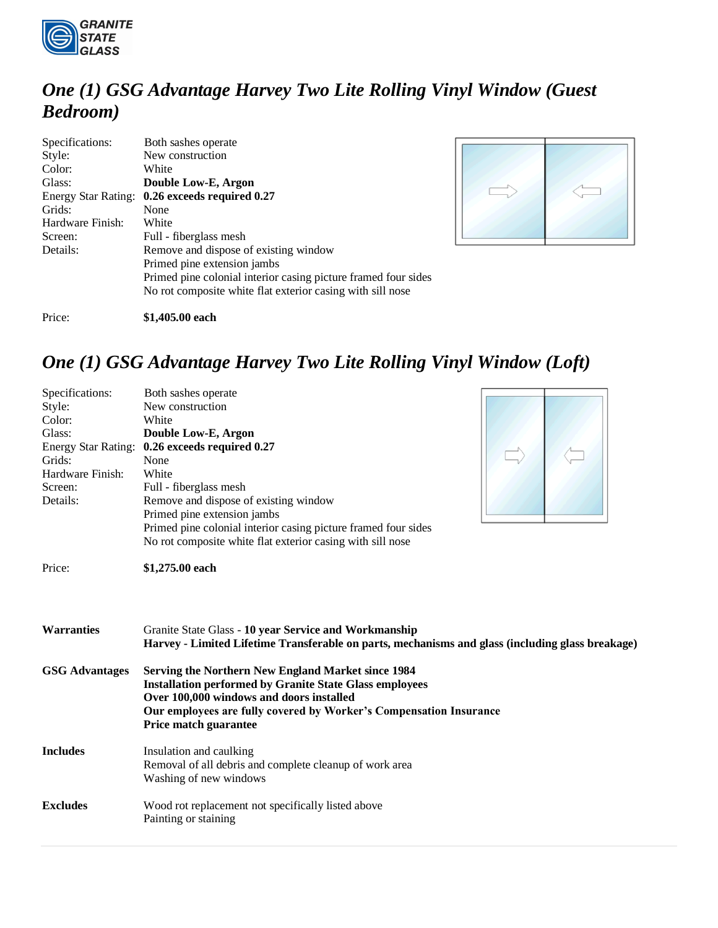

# *One (1) GSG Advantage Harvey Two Lite Rolling Vinyl Window (Guest Bedroom)*

| Specifications:<br>Style:<br>Color:<br>Glass:<br>Energy Star Rating:<br>Grids:<br>Hardware Finish:<br>Screen:<br>Details: | Both sashes operate<br>New construction<br>White<br>Double Low-E, Argon<br>0.26 exceeds required 0.27<br>None<br>White<br>Full - fiberglass mesh<br>Remove and dispose of existing window<br>Primed pine extension jambs |
|---------------------------------------------------------------------------------------------------------------------------|--------------------------------------------------------------------------------------------------------------------------------------------------------------------------------------------------------------------------|
|                                                                                                                           | Primed pine colonial interior casing picture framed four sides<br>No rot composite white flat exterior casing with sill nose                                                                                             |



Price: **\$1,405.00 each**

# *One (1) GSG Advantage Harvey Two Lite Rolling Vinyl Window (Loft)*

| Specifications:<br>Style:<br>Color:<br>Glass:<br>Grids:<br>Hardware Finish:<br>Screen:<br>Details: | Both sashes operate<br>New construction<br>White<br>Double Low-E, Argon<br>Energy Star Rating: 0.26 exceeds required 0.27<br>None<br>White<br>Full - fiberglass mesh<br>Remove and dispose of existing window<br>Primed pine extension jambs<br>Primed pine colonial interior casing picture framed four sides<br>No rot composite white flat exterior casing with sill nose |
|----------------------------------------------------------------------------------------------------|------------------------------------------------------------------------------------------------------------------------------------------------------------------------------------------------------------------------------------------------------------------------------------------------------------------------------------------------------------------------------|
| Price:                                                                                             | \$1,275.00 each                                                                                                                                                                                                                                                                                                                                                              |
| <b>Warranties</b>                                                                                  | Granite State Glass - 10 year Service and Workmanship<br>Harvey - Limited Lifetime Transferable on parts, mechanisms and glass (including glass breakage)                                                                                                                                                                                                                    |
| <b>GSG Advantages</b>                                                                              | <b>Serving the Northern New England Market since 1984</b><br><b>Installation performed by Granite State Glass employees</b><br>Over 100,000 windows and doors installed<br>Our employees are fully covered by Worker's Compensation Insurance<br>Price match guarantee                                                                                                       |
| <b>Includes</b>                                                                                    | Insulation and caulking<br>Removal of all debris and complete cleanup of work area<br>Washing of new windows                                                                                                                                                                                                                                                                 |
| <b>Excludes</b>                                                                                    | Wood rot replacement not specifically listed above<br>Painting or staining                                                                                                                                                                                                                                                                                                   |